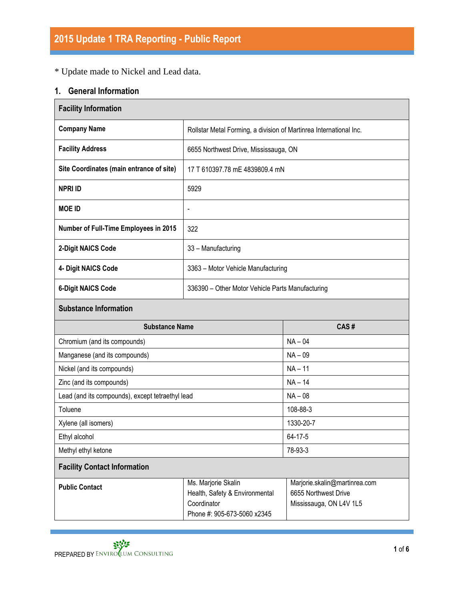\* Update made to Nickel and Lead data.

### **1. General Information**

| <b>Facility Information</b>                      |                                                                                                     |                                                                                  |  |  |  |  |  |
|--------------------------------------------------|-----------------------------------------------------------------------------------------------------|----------------------------------------------------------------------------------|--|--|--|--|--|
| <b>Company Name</b>                              | Rollstar Metal Forming, a division of Martinrea International Inc.                                  |                                                                                  |  |  |  |  |  |
| <b>Facility Address</b>                          | 6655 Northwest Drive, Mississauga, ON                                                               |                                                                                  |  |  |  |  |  |
| Site Coordinates (main entrance of site)         | 17 T 610397.78 mE 4839809.4 mN                                                                      |                                                                                  |  |  |  |  |  |
| <b>NPRI ID</b>                                   | 5929                                                                                                |                                                                                  |  |  |  |  |  |
| <b>MOE ID</b>                                    | $\overline{\phantom{0}}$                                                                            |                                                                                  |  |  |  |  |  |
| Number of Full-Time Employees in 2015            | 322                                                                                                 |                                                                                  |  |  |  |  |  |
| 2-Digit NAICS Code                               | 33 - Manufacturing                                                                                  |                                                                                  |  |  |  |  |  |
| 4- Digit NAICS Code                              | 3363 - Motor Vehicle Manufacturing                                                                  |                                                                                  |  |  |  |  |  |
| <b>6-Digit NAICS Code</b>                        | 336390 - Other Motor Vehicle Parts Manufacturing                                                    |                                                                                  |  |  |  |  |  |
| <b>Substance Information</b>                     |                                                                                                     |                                                                                  |  |  |  |  |  |
| <b>Substance Name</b>                            |                                                                                                     | CAS#                                                                             |  |  |  |  |  |
| Chromium (and its compounds)                     |                                                                                                     | $NA - 04$                                                                        |  |  |  |  |  |
| Manganese (and its compounds)                    |                                                                                                     | $NA - 09$                                                                        |  |  |  |  |  |
| Nickel (and its compounds)                       |                                                                                                     | $NA - 11$                                                                        |  |  |  |  |  |
| Zinc (and its compounds)                         |                                                                                                     | $NA - 14$                                                                        |  |  |  |  |  |
| Lead (and its compounds), except tetraethyl lead |                                                                                                     | $NA - 08$                                                                        |  |  |  |  |  |
| Toluene                                          |                                                                                                     | 108-88-3                                                                         |  |  |  |  |  |
| Xylene (all isomers)                             |                                                                                                     | 1330-20-7                                                                        |  |  |  |  |  |
| Ethyl alcohol                                    |                                                                                                     | $64 - 17 - 5$                                                                    |  |  |  |  |  |
| Methyl ethyl ketone                              |                                                                                                     | 78-93-3                                                                          |  |  |  |  |  |
| <b>Facility Contact Information</b>              |                                                                                                     |                                                                                  |  |  |  |  |  |
| <b>Public Contact</b>                            | Ms. Marjorie Skalin<br>Health, Safety & Environmental<br>Coordinator<br>Phone #: 905-673-5060 x2345 | Marjorie.skalin@martinrea.com<br>6655 Northwest Drive<br>Mississauga, ON L4V 1L5 |  |  |  |  |  |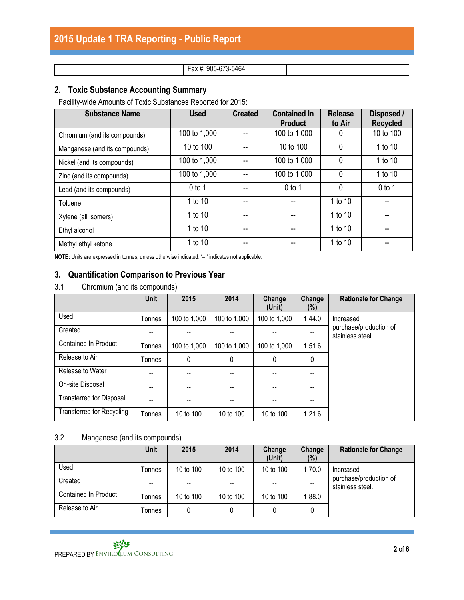#### Fax #: 905-673-5464

### **2. Toxic Substance Accounting Summary**

Facility-wide Amounts of Toxic Substances Reported for 2015:

| <b>Substance Name</b>         | <b>Used</b>  | <b>Created</b> | <b>Contained In</b><br><b>Product</b> | <b>Release</b><br>to Air | Disposed /<br><b>Recycled</b> |
|-------------------------------|--------------|----------------|---------------------------------------|--------------------------|-------------------------------|
| Chromium (and its compounds)  | 100 to 1,000 |                | 100 to 1,000                          | 0                        | 10 to 100                     |
| Manganese (and its compounds) | 10 to 100    |                | 10 to 100                             | $\mathbf{0}$             | 1 to 10                       |
| Nickel (and its compounds)    | 100 to 1,000 |                | 100 to 1,000                          | 0                        | 1 to 10                       |
| Zinc (and its compounds)      | 100 to 1,000 |                | 100 to 1,000                          | $\mathbf{0}$             | 1 to 10                       |
| Lead (and its compounds)      | $0$ to 1     |                | $0$ to 1                              | $\mathbf{0}$             | $0$ to 1                      |
| Toluene                       | 1 to 10      |                |                                       | 1 to 10                  |                               |
| Xylene (all isomers)          | 1 to 10      |                |                                       | 1 to 10                  |                               |
| Ethyl alcohol                 | 1 to 10      |                |                                       | 1 to 10                  |                               |
| Methyl ethyl ketone           | 1 to 10      |                |                                       | 1 to 10                  |                               |

NOTE: Units are expressed in tonnes, unless otherwise indicated. '-- ' indicates not applicable.

#### **3. Quantification Comparison to Previous Year**

#### 3.1 Chromium (and its compounds)

|                                  | Unit          | 2015         | 2014         | Change<br>(Unit) | Change<br>$(\%)$ | <b>Rationale for Change</b>                |
|----------------------------------|---------------|--------------|--------------|------------------|------------------|--------------------------------------------|
| Used                             | Tonnes        | 100 to 1,000 | 100 to 1,000 | 100 to 1,000     | 144.0            | Increased                                  |
| Created                          |               |              |              |                  |                  | purchase/production of<br>stainless steel. |
| <b>Contained In Product</b>      | Tonnes        | 100 to 1,000 | 100 to 1,000 | 100 to 1,000     | 151.6            |                                            |
| Release to Air                   | <b>Tonnes</b> | 0            | 0            | $\mathbf{0}$     | 0                |                                            |
| Release to Water                 | $-$           | --           | --           |                  | --               |                                            |
| On-site Disposal                 | --            | --           |              |                  |                  |                                            |
| Transferred for Disposal         |               |              |              |                  |                  |                                            |
| <b>Transferred for Recycling</b> | Tonnes        | 10 to 100    | 10 to 100    | 10 to 100        | 1 2 1 .6         |                                            |

#### 3.2 Manganese (and its compounds)

|                      | <b>Unit</b> | 2015      | 2014      | Change<br>(Unit) | Change<br>(%) | <b>Rationale for Change</b>                |
|----------------------|-------------|-----------|-----------|------------------|---------------|--------------------------------------------|
| Used                 | Tonnes      | 10 to 100 | 10 to 100 | 10 to 100        | 170.0         | Increased                                  |
| Created              | --          | $- -$     | --        | --               |               | purchase/production of<br>stainless steel. |
| Contained In Product | Tonnes      | 10 to 100 | 10 to 100 | 10 to 100        | 0.88 1        |                                            |
| Release to Air       | Tonnes      | 0         |           |                  |               |                                            |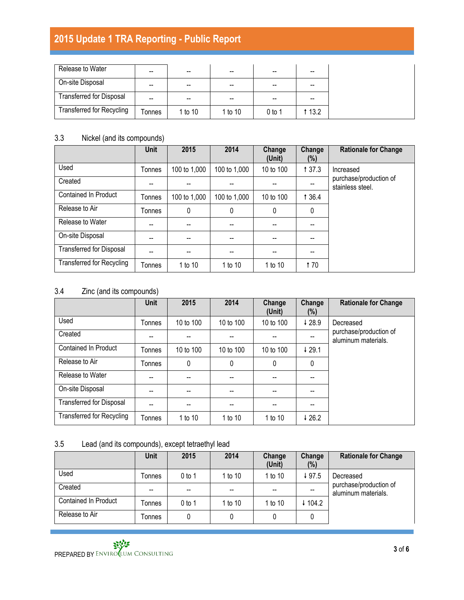## **2015 Update 1 TRA Reporting - Public Report**

| Release to Water                 | $- -$ | $- -$   | --      | --       | $\sim$ |
|----------------------------------|-------|---------|---------|----------|--------|
| On-site Disposal                 | --    | --      | --      |          | --     |
| <b>Transferred for Disposal</b>  | $- -$ | $- -$   | --      | --       | --     |
| <b>Transferred for Recycling</b> | onnes | 1 to 10 | 1 to 10 | $0$ to 1 | 1 13.2 |

#### 3.3 Nickel (and its compounds)

|                                  | <b>Unit</b> | 2015         | 2014         | Change<br>(Unit) | Change<br>(%) | <b>Rationale for Change</b>                |
|----------------------------------|-------------|--------------|--------------|------------------|---------------|--------------------------------------------|
| Used                             | Tonnes      | 100 to 1,000 | 100 to 1,000 | 10 to 100        | 1 37.3        | Increased                                  |
| Created                          | --          |              |              |                  |               | purchase/production of<br>stainless steel. |
| <b>Contained In Product</b>      | Tonnes      | 100 to 1,000 | 100 to 1,000 | 10 to 100        | 1 3 6.4       |                                            |
| Release to Air                   | Tonnes      | 0            | $\mathbf 0$  | $\mathbf{0}$     | 0             |                                            |
| Release to Water                 |             |              |              |                  |               |                                            |
| On-site Disposal                 |             |              |              |                  |               |                                            |
| <b>Transferred for Disposal</b>  |             |              |              |                  |               |                                            |
| <b>Transferred for Recycling</b> | Tonnes      | 1 to 10      | 1 to 10      | 1 to 10          | <b>t</b> 70   |                                            |

### 3.4 Zinc (and its compounds)

|                                  | Unit   | 2015      | 2014      | Change<br>(Unit) | Change<br>$(\%)$  | <b>Rationale for Change</b>                   |
|----------------------------------|--------|-----------|-----------|------------------|-------------------|-----------------------------------------------|
| Used                             | Tonnes | 10 to 100 | 10 to 100 | 10 to 100        | 428.9             | Decreased                                     |
| Created                          |        |           |           |                  |                   | purchase/production of<br>aluminum materials. |
| <b>Contained In Product</b>      | Tonnes | 10 to 100 | 10 to 100 | 10 to 100        | $\downarrow$ 29.1 |                                               |
| Release to Air                   | Tonnes | 0         | 0         | 0                | 0                 |                                               |
| Release to Water                 |        | --        |           |                  |                   |                                               |
| On-site Disposal                 | --     | $- -$     | --        | --               |                   |                                               |
| <b>Transferred for Disposal</b>  |        |           | --        |                  |                   |                                               |
| <b>Transferred for Recycling</b> | Tonnes | 1 to 10   | 1 to 10   | 1 to 10          | 426.2             |                                               |

### 3.5 Lead (and its compounds), except tetraethyl lead

|                      | <b>Unit</b> | 2015                                           | 2014              | Change<br>(Unit) | Change<br>$(\%)$ | <b>Rationale for Change</b>                   |
|----------------------|-------------|------------------------------------------------|-------------------|------------------|------------------|-----------------------------------------------|
| Used                 | Tonnes      | $0$ to 1                                       | 1 to 10           | 1 to 10          | ↓97.5            | Decreased                                     |
| Created              | --          | $\hspace{0.1mm}-\hspace{0.1mm}-\hspace{0.1mm}$ | $\hspace{0.05cm}$ | --               | --               | purchase/production of<br>aluminum materials. |
| Contained In Product | Tonnes      | 0 to 1                                         | 1 to 10           | 1 to 10          | $-104.2$         |                                               |
| Release to Air       | Tonnes      | 0                                              |                   |                  | 0                |                                               |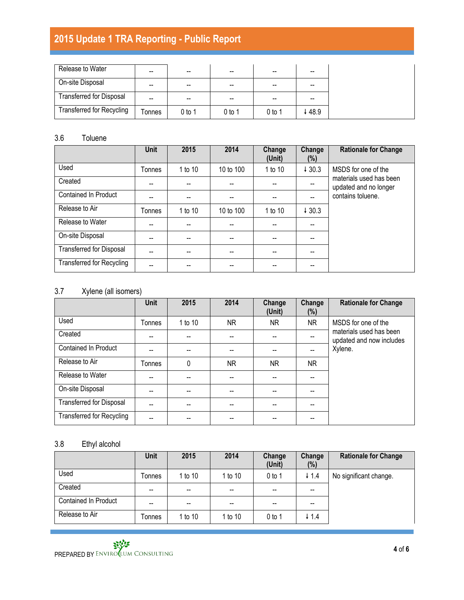# **2015 Update 1 TRA Reporting - Public Report**

| Release to Water                 | --     | --       | --     |          |       |
|----------------------------------|--------|----------|--------|----------|-------|
| On-site Disposal                 | --     | $- -$    | $- -$  |          |       |
| <b>Transferred for Disposal</b>  | --     | --       | $- -$  | --       |       |
| <b>Transferred for Recycling</b> | Tonnes | $0$ to 1 | 0 to 1 | $0$ to 1 | ↓48.9 |

#### 3.6 Toluene

|                                  | <b>Unit</b>   | 2015    | 2014                                  | Change<br>(Unit) | Change<br>(%)            | <b>Rationale for Change</b>                      |
|----------------------------------|---------------|---------|---------------------------------------|------------------|--------------------------|--------------------------------------------------|
| Used                             | <b>Tonnes</b> | 1 to 10 | 10 to 100                             | 1 to 10          | 430.3                    | MSDS for one of the                              |
| Created                          |               |         | $\hspace{0.05cm}$ – $\hspace{0.05cm}$ |                  | --                       | materials used has been<br>updated and no longer |
| <b>Contained In Product</b>      |               |         | $\hspace{0.05cm}$ – $\hspace{0.05cm}$ |                  | $\overline{\phantom{a}}$ | contains toluene.                                |
| Release to Air                   | Tonnes        | 1 to 10 | 10 to 100                             | 1 to 10          | 430.3                    |                                                  |
| Release to Water                 |               |         | $\overline{\phantom{a}}$              |                  |                          |                                                  |
| On-site Disposal                 |               |         |                                       |                  |                          |                                                  |
| <b>Transferred for Disposal</b>  |               |         | --                                    |                  |                          |                                                  |
| <b>Transferred for Recycling</b> |               |         |                                       |                  |                          |                                                  |

#### 3.7 Xylene (all isomers)

|                                  | Unit   | 2015    | 2014 | Change<br>(Unit) | Change<br>(%) | <b>Rationale for Change</b>                         |
|----------------------------------|--------|---------|------|------------------|---------------|-----------------------------------------------------|
| Used                             | Tonnes | 1 to 10 | NR.  | <b>NR</b>        | <b>NR</b>     | MSDS for one of the                                 |
| Created                          |        |         |      |                  |               | materials used has been<br>updated and now includes |
| <b>Contained In Product</b>      |        |         |      |                  |               | Xylene.                                             |
| Release to Air                   | Tonnes | 0       | NR.  | NR.              | NR.           |                                                     |
| Release to Water                 |        |         |      |                  |               |                                                     |
| On-site Disposal                 | --     | --      | --   | --               |               |                                                     |
| <b>Transferred for Disposal</b>  |        |         |      |                  |               |                                                     |
| <b>Transferred for Recycling</b> |        |         |      |                  |               |                                                     |

### 3.8 Ethyl alcohol

|                      | <b>Unit</b> | 2015    | 2014              | Change<br>(Unit) | Change<br>$(\%)$                      | <b>Rationale for Change</b> |
|----------------------|-------------|---------|-------------------|------------------|---------------------------------------|-----------------------------|
| Used                 | Tonnes      | 1 to 10 | 1 to 10           | $0$ to 1         | $+ 1.4$                               | No significant change.      |
| Created              | $- -$       | $- -$   | $\hspace{0.05cm}$ | $- -$            | $\hspace{0.05cm}$ – $\hspace{0.05cm}$ |                             |
| Contained In Product | --          | $- -$   | --                | $- -$            | --                                    |                             |
| Release to Air       | Tonnes      | 1 to 10 | 1 to 10           | $0$ to 1         | $\downarrow$ 1.4                      |                             |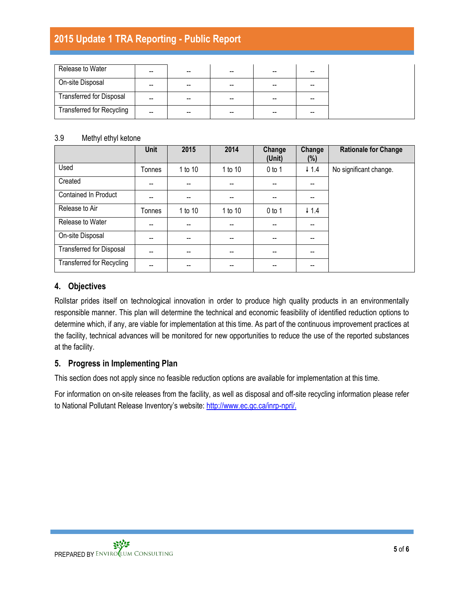## **2015 Update 1 TRA Reporting - Public Report**

| Release to Water                 | -- | -- | -- | -- | -- |  |
|----------------------------------|----|----|----|----|----|--|
| On-site Disposal                 | -- | -- | -- | -- | -- |  |
| <b>Transferred for Disposal</b>  | -- |    | -- | -- | -- |  |
| <b>Transferred for Recycling</b> | -- | -- | -- |    |    |  |

#### 3.9 Methyl ethyl ketone

|                                  | <b>Unit</b> | 2015    | 2014    | Change<br>(Unit)                      | Change<br>$(\%)$ | <b>Rationale for Change</b> |
|----------------------------------|-------------|---------|---------|---------------------------------------|------------------|-----------------------------|
| Used                             | Tonnes      | 1 to 10 | 1 to 10 | $0$ to 1                              | $\downarrow$ 1.4 | No significant change.      |
| Created                          |             | --      |         | $\hspace{0.05cm}$ – $\hspace{0.05cm}$ |                  |                             |
| Contained In Product             |             | --      |         | --                                    |                  |                             |
| Release to Air                   | Tonnes      | 1 to 10 | 1 to 10 | $0$ to 1                              | $\downarrow$ 1.4 |                             |
| Release to Water                 |             | --      |         |                                       |                  |                             |
| On-site Disposal                 | --          | --      |         | $\hspace{0.05cm}$ – $\hspace{0.05cm}$ |                  |                             |
| <b>Transferred for Disposal</b>  | --          | $- -$   | $- -$   | $- -$                                 | --               |                             |
| <b>Transferred for Recycling</b> |             |         |         |                                       |                  |                             |

#### **4. Objectives**

Rollstar prides itself on technological innovation in order to produce high quality products in an environmentally responsible manner. This plan will determine the technical and economic feasibility of identified reduction options to determine which, if any, are viable for implementation at this time. As part of the continuous improvement practices at the facility, technical advances will be monitored for new opportunities to reduce the use of the reported substances at the facility.

#### **5. Progress in Implementing Plan**

This section does not apply since no feasible reduction options are available for implementation at this time.

For information on on-site releases from the facility, as well as disposal and off-site recycling information please refer to National Pollutant Release Inventory's website: [http://www.ec.gc.ca/inrp-npri/.](http://www.ec.gc.ca/inrp-npri/)